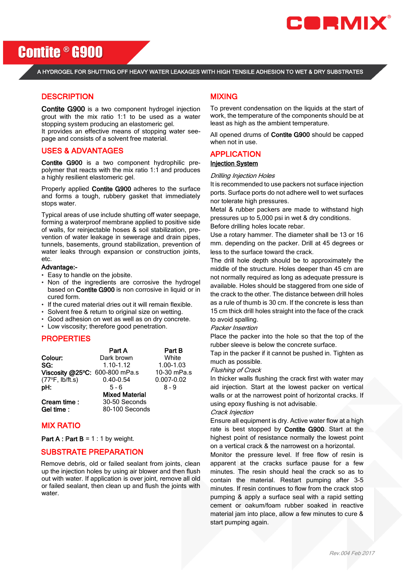

Contite ® G900

A HYDROGEL FOR SHUTTING OFF HEAVY WATER LEAKAGES WITH HIGH TENSILE ADHESION TO WET & DRY SUBSTRATES

## **DESCRIPTION**

Contite G900 is a two component hydrogel injection grout with the mix ratio 1:1 to be used as a water stopping system producing an elastomeric gel.

It provides an effective means of stopping water seepage and consists of a solvent free material.

### USES & ADVANTAGES

Contite G900 is a two component hydrophilic prepolymer that reacts with the mix ratio 1:1 and produces a highly resilient elastomeric gel.

Properly applied Contite G900 adheres to the surface and forms a tough, rubbery gasket that immediately stops water.

Typical areas of use include shutting off water seepage, forming a waterproof membrane applied to positive side of walls, for reinjectable hoses & soil stabilization, prevention of water leakage in sewerage and drain pipes, tunnels, basements, ground stabilization, prevention of water leaks through expansion or construction joints, etc.

#### Advantage:-

- Easy to handle on the jobsite.
- Non of the ingredients are corrosive the hydrogel based on Contite G900 is non corrosive in liquid or in cured form.
- If the cured material dries out it will remain flexible.
- Solvent free & return to original size on wetting.
- Good adhesion on wet as well as on dry concrete.
- Low viscosity; therefore good penetration.

## PROPERTIES

| Part A                         | Part B         |
|--------------------------------|----------------|
| Dark brown                     | White          |
| $1.10 - 1.12$                  | 1.00-1.03      |
| Viscosity @25°C: 600-800 mPa.s | 10-30 mPa.s    |
| $0.40 - 0.54$                  | $0.007 - 0.02$ |
| $5 - 6$                        | 8 - 9          |
| <b>Mixed Material</b>          |                |
| 30-50 Seconds                  |                |
| 80-100 Seconds                 |                |
|                                |                |

## MIX RATIO

**Part A : Part B = 1 : 1 by weight.** 

## SUBSTRATE PREPARATION

Remove debris, old or failed sealant from joints, clean up the injection holes by using air blower and then flush out with water. If application is over joint, remove all old or failed sealant, then clean up and flush the joints with water

## MIXING

To prevent condensation on the liquids at the start of work, the temperature of the components should be at least as high as the ambient temperature.

All opened drums of Contite G900 should be capped when not in use.

#### APPLICATION

#### Injection System

#### Drilling Injection Holes

It is recommended to use packers not surface injection ports. Surface ports do not adhere well to wet surfaces nor tolerate high pressures.

Metal & rubber packers are made to withstand high pressures up to 5,000 psi in wet & dry conditions. Before drilling holes locate rebar.

Use a rotary hammer. The diameter shall be 13 or 16 mm. depending on the packer. Drill at 45 degrees or

less to the surface toward the crack. The drill hole depth should be to approximately the middle of the structure. Holes deeper than 45 cm are not normally required as long as adequate pressure is available. Holes should be staggered from one side of the crack to the other. The distance between drill holes as a rule of thumb is 30 cm. If the concrete is less than 15 cm thick drill holes straight into the face of the crack

## to avoid spalling.

Packer Insertion

Place the packer into the hole so that the top of the rubber sleeve is below the concrete surface.

Tap in the packer if it cannot be pushed in. Tighten as much as possible.

#### Flushing of Crack

In thicker walls flushing the crack first with water may aid injection. Start at the lowest packer on vertical walls or at the narrowest point of horizontal cracks. If using epoxy flushing is not advisable.

#### Crack Injection

Ensure all equipment is dry. Active water flow at a high rate is best stopped by Contite G900. Start at the highest point of resistance normally the lowest point on a vertical crack & the narrowest on a horizontal.

Monitor the pressure level. If free flow of resin is apparent at the cracks surface pause for a few minutes. The resin should heal the crack so as to contain the material. Restart pumping after 3-5 minutes. If resin continues to flow from the crack stop pumping & apply a surface seal with a rapid setting cement or oakum/foam rubber soaked in reactive material jam into place, allow a few minutes to cure & start pumping again.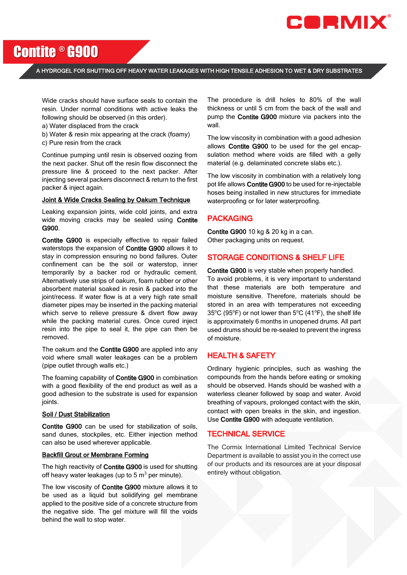

# Contite ® G900

A HYDROGEL FOR SHUTTING OFF HEAVY WATER LEAKAGES WITH HIGH TENSILE ADHESION TO WET & DRY SUBSTRATES

Wide cracks should have surface seals to contain the resin. Under normal conditions with active leaks the following should be observed (in this order).

a) Water displaced from the crack

b) Water & resin mix appearing at the crack (foamy) c) Pure resin from the crack

Continue pumping until resin is observed oozing from the next packer. Shut off the resin flow disconnect the pressure line & proceed to the next packer. After injecting several packers disconnect & return to the first packer & inject again.

#### Joint & Wide Cracks Sealing by Oakum Technique

Leaking expansion joints, wide cold joints, and extra wide moving cracks may be sealed using Contite G900.

Contite G900 is especially effective to repair failed waterstops the expansion of Contite G900 allows it to stay in compression ensuring no bond failures. Outer confinement can be the soil or waterstop, inner temporarily by a backer rod or hydraulic cement. Alternatively use strips of oakum, foam rubber or other absorbent material soaked in resin & packed into the joint/recess. If water flow is at a very high rate small diameter pipes may be inserted in the packing material which serve to relieve pressure & divert flow away while the packing material cures. Once cured inject resin into the pipe to seal it, the pipe can then be removed.

The oakum and the Contite G900 are applied into any void where small water leakages can be a problem (pipe outlet through walls etc.)

The foaming capability of Contite G900 in combination with a good flexibility of the end product as well as a good adhesion to the substrate is used for expansion joints.

#### Soil / Dust Stabilization

Contite G900 can be used for stabilization of soils, sand dunes, stockpiles, etc. Either injection method can also be used wherever applicable.

#### Backfill Grout or Membrane Forming

The high reactivity of Contite G900 is used for shutting off heavy water leakages (up to  $5 \text{ m}^3$  per minute).

The low viscosity of **Contite G900** mixture allows it to be used as a liquid but solidifying gel membrane applied to the positive side of a concrete structure from the negative side. The gel mixture will fill the voids behind the wall to stop water.

The procedure is drill holes to 80% of the wall thickness or until 5 cm from the back of the wall and pump the Contite G900 mixture via packers into the wall.

The low viscosity in combination with a good adhesion allows Contite G900 to be used for the gel encapsulation method where voids are filled with a gelly material (e.g. delaminated concrete slabs etc.).

The low viscosity in combination with a relatively long pot life allows Contite G900 to be used for re-injectable hoses being installed in new structures for immediate waterproofing or for later waterproofing.

## PACKAGING

Contite G900 10 kg & 20 kg in a can. Other packaging units on request.

## STORAGE CONDITIONS & SHELF LIFE

Contite G900 is very stable when properly handled. To avoid problems, it is very important to understand that these materials are both temperature and moisture sensitive. Therefore, materials should be stored in an area with temperatures not exceeding  $35^{\circ}$ C (95°F) or not lower than 5°C (41°F), the shelf life is approximately 6 months in unopened drums. All part used drums should be re-sealed to prevent the ingress of moisture.

## HEALTH & SAFETY

Ordinary hygienic principles, such as washing the compounds from the hands before eating or smoking should be observed. Hands should be washed with a waterless cleaner followed by soap and water. Avoid breathing of vapours, prolonged contact with the skin, contact with open breaks in the skin, and ingestion. Use Contite G900 with adequate ventilation.

## TECHNICAL SERVICE

The Cormix International Limited Technical Service Department is available to assist you in the correct use of our products and its resources are at your disposal entirely without obligation.